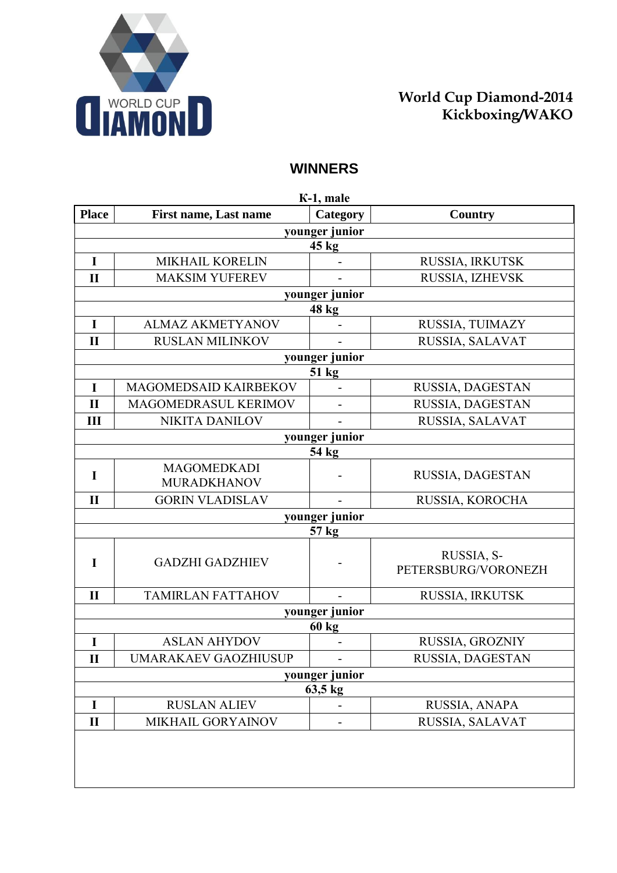

## **World Сup Diamond-2014 Kickboxing/WAKO**

## **WINNERS**

| K-1, male      |                                          |                          |                                   |  |
|----------------|------------------------------------------|--------------------------|-----------------------------------|--|
| <b>Place</b>   | <b>First name, Last name</b>             | Category                 | Country                           |  |
|                |                                          | younger junior           |                                   |  |
|                |                                          | 45 kg                    |                                   |  |
| $\mathbf I$    | <b>MIKHAIL KORELIN</b>                   |                          | RUSSIA, IRKUTSK                   |  |
| $\mathbf{I}$   | <b>MAKSIM YUFEREV</b>                    |                          | RUSSIA, IZHEVSK                   |  |
|                |                                          | younger junior           |                                   |  |
|                |                                          | 48 kg                    |                                   |  |
| I              | <b>ALMAZ AKMETYANOV</b>                  |                          | RUSSIA, TUIMAZY                   |  |
| $\mathbf{I}$   | <b>RUSLAN MILINKOV</b>                   |                          | RUSSIA, SALAVAT                   |  |
|                |                                          | younger junior           |                                   |  |
|                |                                          | 51 kg                    |                                   |  |
| I              | MAGOMEDSAID KAIRBEKOV                    |                          | RUSSIA, DAGESTAN                  |  |
| $\mathbf{I}$   | MAGOMEDRASUL KERIMOV                     | -                        | RUSSIA, DAGESTAN                  |  |
| III            | <b>NIKITA DANILOV</b>                    |                          | RUSSIA, SALAVAT                   |  |
|                |                                          | younger junior           |                                   |  |
|                |                                          | 54 kg                    |                                   |  |
| I              | <b>MAGOMEDKADI</b><br><b>MURADKHANOV</b> |                          | RUSSIA, DAGESTAN                  |  |
| $\mathbf{I}$   | <b>GORIN VLADISLAV</b>                   |                          | RUSSIA, KOROCHA                   |  |
|                |                                          | younger junior           |                                   |  |
|                |                                          | 57 kg                    |                                   |  |
| I              | <b>GADZHI GADZHIEV</b>                   |                          | RUSSIA, S-<br>PETERSBURG/VORONEZH |  |
| $\mathbf{I}$   | <b>TAMIRLAN FATTAHOV</b>                 |                          | RUSSIA, IRKUTSK                   |  |
|                |                                          | younger junior           |                                   |  |
|                |                                          | <b>60 kg</b>             |                                   |  |
| I              | <b>ASLAN AHYDOV</b>                      |                          | RUSSIA, GROZNIY                   |  |
| $\mathbf{I}$   | UMARAKAEV GAOZHIUSUP                     |                          | RUSSIA, DAGESTAN                  |  |
| younger junior |                                          |                          |                                   |  |
| 63,5 kg        |                                          |                          |                                   |  |
| $\mathbf I$    | <b>RUSLAN ALIEV</b>                      |                          | RUSSIA, ANAPA                     |  |
| $\mathbf{I}$   | MIKHAIL GORYAINOV                        | $\overline{\phantom{0}}$ | RUSSIA, SALAVAT                   |  |
|                |                                          |                          |                                   |  |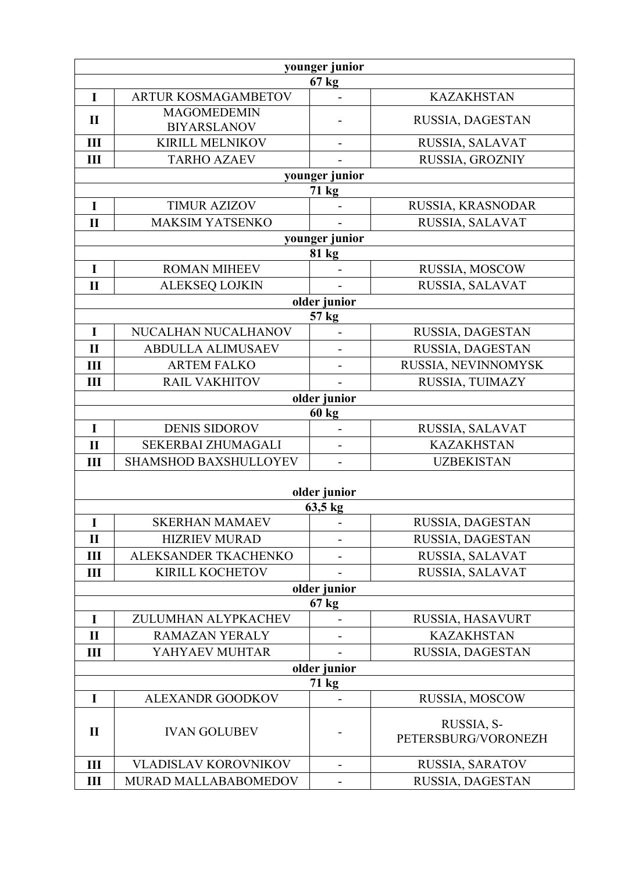| younger junior |                                          |                              |                                   |  |
|----------------|------------------------------------------|------------------------------|-----------------------------------|--|
| $67$ kg        |                                          |                              |                                   |  |
| $\mathbf I$    | <b>ARTUR KOSMAGAMBETOV</b>               |                              | <b>KAZAKHSTAN</b>                 |  |
| $\mathbf{I}$   | <b>MAGOMEDEMIN</b><br><b>BIYARSLANOV</b> |                              | RUSSIA, DAGESTAN                  |  |
| III            | <b>KIRILL MELNIKOV</b>                   |                              | RUSSIA, SALAVAT                   |  |
| III            | <b>TARHO AZAEV</b>                       |                              | RUSSIA, GROZNIY                   |  |
|                |                                          | younger junior               |                                   |  |
|                |                                          | 71 kg                        |                                   |  |
| $\mathbf I$    | <b>TIMUR AZIZOV</b>                      |                              | RUSSIA, KRASNODAR                 |  |
| $\mathbf{I}$   | <b>MAKSIM YATSENKO</b>                   |                              | RUSSIA, SALAVAT                   |  |
|                |                                          | younger junior               |                                   |  |
|                |                                          | 81 kg                        |                                   |  |
| $\mathbf I$    | <b>ROMAN MIHEEV</b>                      |                              | RUSSIA, MOSCOW                    |  |
| $\mathbf{I}$   | <b>ALEKSEQ LOJKIN</b>                    |                              | RUSSIA, SALAVAT                   |  |
|                |                                          | older junior                 |                                   |  |
| $\mathbf I$    | NUCALHAN NUCALHANOV                      | 57 kg                        | RUSSIA, DAGESTAN                  |  |
|                |                                          |                              |                                   |  |
| $\mathbf{I}$   | <b>ABDULLA ALIMUSAEV</b>                 |                              | RUSSIA, DAGESTAN                  |  |
| III            | <b>ARTEM FALKO</b>                       |                              | RUSSIA, NEVINNOMYSK               |  |
| Ш              | <b>RAIL VAKHITOV</b>                     |                              | RUSSIA, TUIMAZY                   |  |
|                |                                          | older junior<br><b>60 kg</b> |                                   |  |
| $\mathbf I$    | <b>DENIS SIDOROV</b>                     |                              | RUSSIA, SALAVAT                   |  |
| $\mathbf{I}$   | SEKERBAI ZHUMAGALI                       | $\overline{a}$               | <b>KAZAKHSTAN</b>                 |  |
| Ш              | <b>SHAMSHOD BAXSHULLOYEV</b>             | $\qquad \qquad \blacksquare$ | <b>UZBEKISTAN</b>                 |  |
|                |                                          |                              |                                   |  |
|                |                                          | older junior                 |                                   |  |
|                |                                          | $63,5$ kg                    |                                   |  |
| $\mathbf I$    | <b>SKERHAN MAMAEV</b>                    | ۰                            | RUSSIA, DAGESTAN                  |  |
| $\mathbf{I}$   | <b>HIZRIEV MURAD</b>                     |                              | RUSSIA, DAGESTAN                  |  |
| $\mathbf{III}$ | ALEKSANDER TKACHENKO                     |                              | RUSSIA, SALAVAT                   |  |
| $\mathbf{III}$ | KIRILL KOCHETOV                          |                              | RUSSIA, SALAVAT                   |  |
| older junior   |                                          |                              |                                   |  |
| $67$ kg        |                                          |                              |                                   |  |
| $\mathbf I$    | ZULUMHAN ALYPKACHEV                      |                              | RUSSIA, HASAVURT                  |  |
| $\mathbf{I}$   | <b>RAMAZAN YERALY</b>                    | -                            | <b>KAZAKHSTAN</b>                 |  |
| Ш              | YAHYAEV MUHTAR                           |                              | RUSSIA, DAGESTAN                  |  |
| older junior   |                                          |                              |                                   |  |
| 71 kg          |                                          |                              |                                   |  |
| $\mathbf I$    | <b>ALEXANDR GOODKOV</b>                  | L,                           | RUSSIA, MOSCOW                    |  |
| $\mathbf{I}$   | <b>IVAN GOLUBEV</b>                      |                              | RUSSIA, S-<br>PETERSBURG/VORONEZH |  |
| $\mathbf{III}$ | <b>VLADISLAV KOROVNIKOV</b>              | $\overline{a}$               | RUSSIA, SARATOV                   |  |
| Ш              | MURAD MALLABABOMEDOV                     |                              | RUSSIA, DAGESTAN                  |  |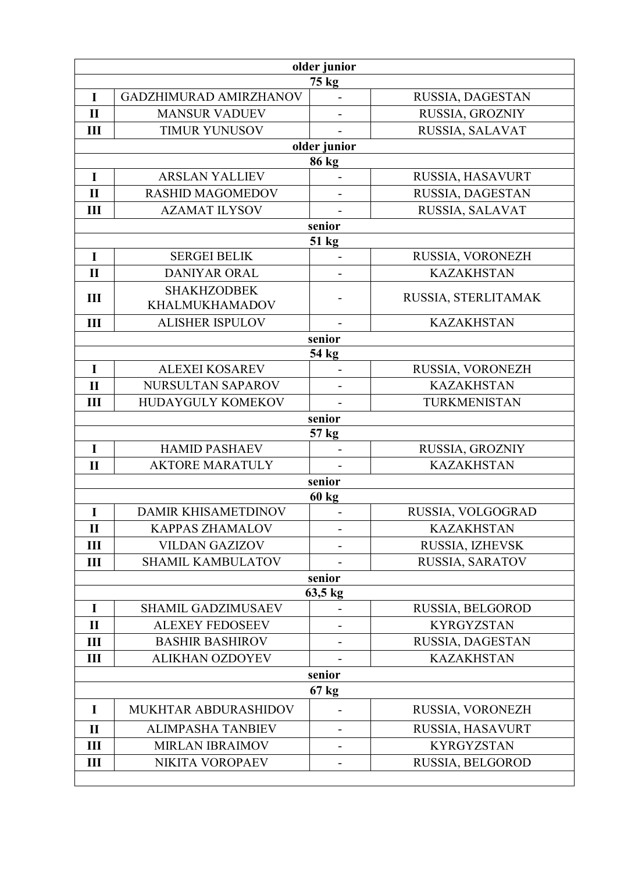| older junior      |                            |              |                                     |  |
|-------------------|----------------------------|--------------|-------------------------------------|--|
| 75 kg             |                            |              |                                     |  |
| $\mathbf I$       | GADZHIMURAD AMIRZHANOV     |              | RUSSIA, DAGESTAN                    |  |
| $\mathbf{I}$      | <b>MANSUR VADUEV</b>       |              | RUSSIA, GROZNIY                     |  |
| III               | <b>TIMUR YUNUSOV</b>       |              | RUSSIA, SALAVAT                     |  |
|                   |                            | older junior |                                     |  |
| $\mathbf I$       | <b>ARSLAN YALLIEV</b>      | 86 kg        |                                     |  |
| $\mathbf{I}$      | <b>RASHID MAGOMEDOV</b>    |              | RUSSIA, HASAVURT                    |  |
| III               | <b>AZAMAT ILYSOV</b>       |              | RUSSIA, DAGESTAN<br>RUSSIA, SALAVAT |  |
|                   |                            | senior       |                                     |  |
|                   |                            | 51 kg        |                                     |  |
| $\mathbf I$       | <b>SERGEI BELIK</b>        |              | RUSSIA, VORONEZH                    |  |
| $\mathbf{I}$      | DANIYAR ORAL               |              | <b>KAZAKHSTAN</b>                   |  |
|                   | <b>SHAKHZODBEK</b>         |              |                                     |  |
| $\mathbf{III}$    | <b>KHALMUKHAMADOV</b>      |              | RUSSIA, STERLITAMAK                 |  |
| III               | <b>ALISHER ISPULOV</b>     |              | <b>KAZAKHSTAN</b>                   |  |
|                   |                            | senior       |                                     |  |
|                   |                            | 54 kg        |                                     |  |
| $\mathbf I$       | <b>ALEXEI KOSAREV</b>      |              | RUSSIA, VORONEZH                    |  |
| $\mathbf{I}$      | NURSULTAN SAPAROV          |              | <b>KAZAKHSTAN</b>                   |  |
| III               | HUDAYGULY KOMEKOV          |              | TURKMENISTAN                        |  |
|                   |                            | senior       |                                     |  |
|                   |                            | 57 kg        |                                     |  |
| I                 | <b>HAMID PASHAEV</b>       |              | RUSSIA, GROZNIY                     |  |
| $\mathbf{I}$      | <b>AKTORE MARATULY</b>     | senior       | <b>KAZAKHSTAN</b>                   |  |
|                   |                            | <b>60 kg</b> |                                     |  |
| I                 | <b>DAMIR KHISAMETDINOV</b> |              | RUSSIA, VOLGOGRAD                   |  |
| $\mathbf{I}$      | <b>KAPPAS ZHAMALOV</b>     |              | <b>KAZAKHSTAN</b>                   |  |
| Ш                 | <b>VILDAN GAZIZOV</b>      |              | RUSSIA, IZHEVSK                     |  |
| Ш                 | <b>SHAMIL KAMBULATOV</b>   |              | RUSSIA, SARATOV                     |  |
|                   |                            | senior       |                                     |  |
| $63,5 \text{ kg}$ |                            |              |                                     |  |
| $\mathbf I$       | <b>SHAMIL GADZIMUSAEV</b>  |              | RUSSIA, BELGOROD                    |  |
| $\mathbf{I}$      | <b>ALEXEY FEDOSEEV</b>     |              | <b>KYRGYZSTAN</b>                   |  |
| $\mathbf{III}$    | <b>BASHIR BASHIROV</b>     |              | RUSSIA, DAGESTAN                    |  |
| Ш                 | <b>ALIKHAN OZDOYEV</b>     |              | <b>KAZAKHSTAN</b>                   |  |
| senior            |                            |              |                                     |  |
| 67 kg             |                            |              |                                     |  |
| I                 | MUKHTAR ABDURASHIDOV       |              | RUSSIA, VORONEZH                    |  |
| $\mathbf{I}$      | <b>ALIMPASHA TANBIEV</b>   |              | RUSSIA, HASAVURT                    |  |
| Ш                 | <b>MIRLAN IBRAIMOV</b>     |              | <b>KYRGYZSTAN</b>                   |  |
| $\mathbf{III}$    | NIKITA VOROPAEV            |              | RUSSIA, BELGOROD                    |  |
|                   |                            |              |                                     |  |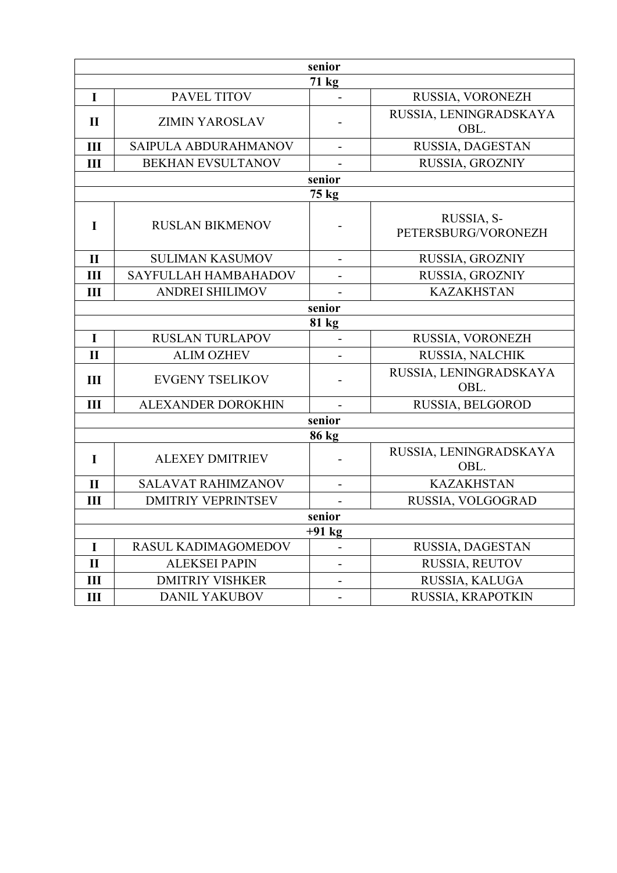| senior         |                           |                              |                                   |  |
|----------------|---------------------------|------------------------------|-----------------------------------|--|
| 71 kg          |                           |                              |                                   |  |
| $\mathbf I$    | PAVEL TITOV               |                              | RUSSIA, VORONEZH                  |  |
| $\mathbf{I}$   | <b>ZIMIN YAROSLAV</b>     |                              | RUSSIA, LENINGRADSKAYA<br>OBL.    |  |
| III            | SAIPULA ABDURAHMANOV      |                              | RUSSIA, DAGESTAN                  |  |
| Ш              | <b>BEKHAN EVSULTANOV</b>  |                              | RUSSIA, GROZNIY                   |  |
|                |                           | senior                       |                                   |  |
|                |                           | 75 kg                        |                                   |  |
| $\mathbf I$    | <b>RUSLAN BIKMENOV</b>    |                              | RUSSIA, S-<br>PETERSBURG/VORONEZH |  |
| $\mathbf{I}$   | <b>SULIMAN KASUMOV</b>    | $\overline{\phantom{0}}$     | RUSSIA, GROZNIY                   |  |
| III            | SAYFULLAH HAMBAHADOV      |                              | RUSSIA, GROZNIY                   |  |
| III            | <b>ANDREI SHILIMOV</b>    |                              | <b>KAZAKHSTAN</b>                 |  |
| senior         |                           |                              |                                   |  |
|                |                           | 81 kg                        |                                   |  |
| $\mathbf I$    | <b>RUSLAN TURLAPOV</b>    |                              | RUSSIA, VORONEZH                  |  |
| $\mathbf{I}$   | <b>ALIM OZHEV</b>         |                              | RUSSIA, NALCHIK                   |  |
| III            | <b>EVGENY TSELIKOV</b>    |                              | RUSSIA, LENINGRADSKAYA<br>OBL.    |  |
| III            | ALEXANDER DOROKHIN        |                              | RUSSIA, BELGOROD                  |  |
| senior         |                           |                              |                                   |  |
| 86 kg          |                           |                              |                                   |  |
| $\mathbf I$    | <b>ALEXEY DMITRIEV</b>    |                              | RUSSIA, LENINGRADSKAYA<br>OBL.    |  |
| $\mathbf{I}$   | <b>SALAVAT RAHIMZANOV</b> |                              | <b>KAZAKHSTAN</b>                 |  |
| Ш              | <b>DMITRIY VEPRINTSEV</b> |                              | RUSSIA, VOLGOGRAD                 |  |
| senior         |                           |                              |                                   |  |
| $+91$ kg       |                           |                              |                                   |  |
| $\mathbf I$    | RASUL KADIMAGOMEDOV       |                              | RUSSIA, DAGESTAN                  |  |
| $\mathbf{I}$   | <b>ALEKSEI PAPIN</b>      |                              | RUSSIA, REUTOV                    |  |
| $\mathbf{III}$ | <b>DMITRIY VISHKER</b>    | $\qquad \qquad \blacksquare$ | RUSSIA, KALUGA                    |  |
| $\mathbf{III}$ | <b>DANIL YAKUBOV</b>      | $\qquad \qquad \blacksquare$ | RUSSIA, KRAPOTKIN                 |  |